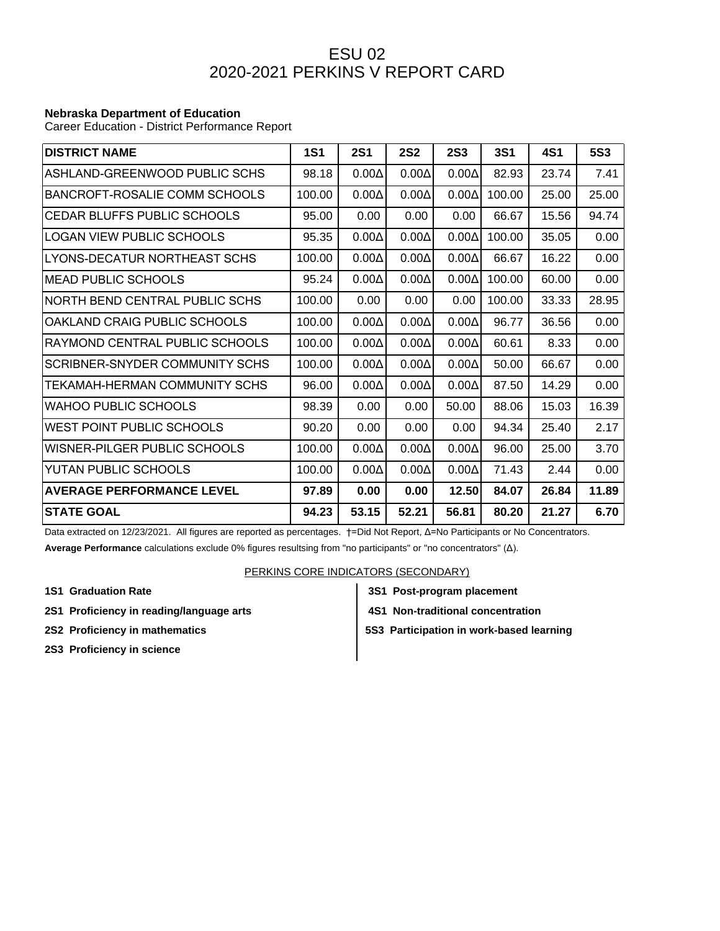## ESU 02 2020-2021 PERKINS V REPORT CARD

## **Nebraska Department of Education**

Career Education - District Performance Report

| <b>DISTRICT NAME</b>             | <b>1S1</b> | <b>2S1</b>   | <b>2S2</b>   | <b>2S3</b>   | <b>3S1</b> | <b>4S1</b> | <b>5S3</b> |
|----------------------------------|------------|--------------|--------------|--------------|------------|------------|------------|
| ASHLAND-GREENWOOD PUBLIC SCHS    | 98.18      | $0.00\Delta$ | $0.00\Delta$ | $0.00\Delta$ | 82.93      | 23.74      | 7.41       |
| BANCROFT-ROSALIE COMM SCHOOLS    | 100.00     | $0.00\Delta$ | $0.00\Delta$ | $0.00\Delta$ | 100.00     | 25.00      | 25.00      |
| CEDAR BLUFFS PUBLIC SCHOOLS      | 95.00      | 0.00         | 0.00         | 0.00         | 66.67      | 15.56      | 94.74      |
| LOGAN VIEW PUBLIC SCHOOLS        | 95.35      | $0.00\Delta$ | $0.00\Delta$ | $0.00\Delta$ | 100.00     | 35.05      | 0.00       |
| LYONS-DECATUR NORTHEAST SCHS     | 100.00     | $0.00\Delta$ | $0.00\Delta$ | $0.00\Delta$ | 66.67      | 16.22      | 0.00       |
| <b>MEAD PUBLIC SCHOOLS</b>       | 95.24      | $0.00\Delta$ | $0.00\Delta$ | $0.00\Delta$ | 100.00     | 60.00      | 0.00       |
| NORTH BEND CENTRAL PUBLIC SCHS   | 100.00     | 0.00         | 0.00         | 0.00         | 100.00     | 33.33      | 28.95      |
| OAKLAND CRAIG PUBLIC SCHOOLS     | 100.00     | $0.00\Delta$ | $0.00\Delta$ | $0.00\Delta$ | 96.77      | 36.56      | 0.00       |
| RAYMOND CENTRAL PUBLIC SCHOOLS   | 100.00     | $0.00\Delta$ | $0.00\Delta$ | $0.00\Delta$ | 60.61      | 8.33       | 0.00       |
| SCRIBNER-SNYDER COMMUNITY SCHS   | 100.00     | $0.00\Delta$ | $0.00\Delta$ | $0.00\Delta$ | 50.00      | 66.67      | 0.00       |
| TEKAMAH-HERMAN COMMUNITY SCHS    | 96.00      | $0.00\Delta$ | $0.00\Delta$ | $0.00\Delta$ | 87.50      | 14.29      | 0.00       |
| WAHOO PUBLIC SCHOOLS             | 98.39      | 0.00         | 0.00         | 50.00        | 88.06      | 15.03      | 16.39      |
| WEST POINT PUBLIC SCHOOLS        | 90.20      | 0.00         | 0.00         | 0.00         | 94.34      | 25.40      | 2.17       |
| WISNER-PILGER PUBLIC SCHOOLS     | 100.00     | $0.00\Delta$ | $0.00\Delta$ | $0.00\Delta$ | 96.00      | 25.00      | 3.70       |
| YUTAN PUBLIC SCHOOLS             | 100.00     | $0.00\Delta$ | $0.00\Delta$ | $0.00\Delta$ | 71.43      | 2.44       | 0.00       |
| <b>AVERAGE PERFORMANCE LEVEL</b> | 97.89      | 0.00         | 0.00         | 12.50        | 84.07      | 26.84      | 11.89      |
| <b>STATE GOAL</b>                | 94.23      | 53.15        | 52.21        | 56.81        | 80.20      | 21.27      | 6.70       |

Data extracted on 12/23/2021. All figures are reported as percentages. †=Did Not Report, Δ=No Participants or No Concentrators. **Average Performance** calculations exclude 0% figures resultsing from "no participants" or "no concentrators" (Δ).

## PERKINS CORE INDICATORS (SECONDARY)

- **1S1 Graduation Rate 3S1 Post-program placement**
- **2S1 Proficiency in reading/language arts 4S1 Non-traditional concentration**
- 
- 
- **2S2 Proficiency in mathematics**  $\begin{vmatrix} 553 \end{vmatrix}$  **5S3 Participation in work-based learning**
- **2S3 Proficiency in science**